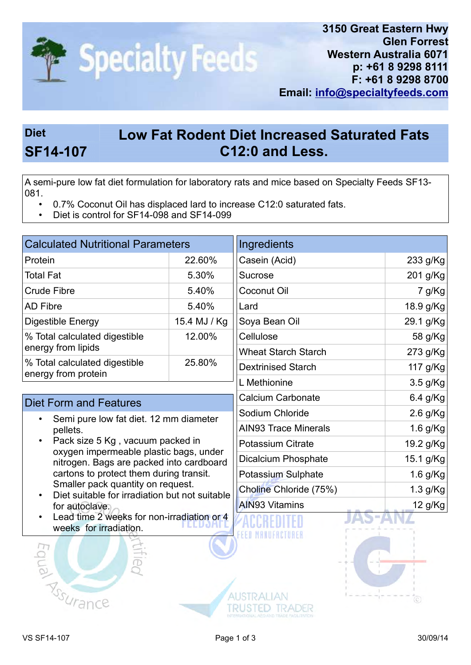

## Diet Low Fat Rodent Diet Increased Saturated Fats SF14-107 C12:0 and Less.

A semi-pure low fat diet formulation for laboratory rats and mice based on Specialty Feeds SF13- 081.

- 0.7% Coconut Oil has displaced lard to increase C12:0 saturated fats.
- Diet is control for SF14-098 and SF14-099

| <b>Calculated Nutritional Parameters</b>                                                                                                                                                                                                                                                                                                                                                                                          |              | Ingredients                 |            |
|-----------------------------------------------------------------------------------------------------------------------------------------------------------------------------------------------------------------------------------------------------------------------------------------------------------------------------------------------------------------------------------------------------------------------------------|--------------|-----------------------------|------------|
| Protein                                                                                                                                                                                                                                                                                                                                                                                                                           | 22.60%       | Casein (Acid)               | 233 g/Kg   |
| Total Fat                                                                                                                                                                                                                                                                                                                                                                                                                         | 5.30%        | <b>Sucrose</b>              | 201 g/Kg   |
| <b>Crude Fibre</b>                                                                                                                                                                                                                                                                                                                                                                                                                | 5.40%        | <b>Coconut Oil</b>          | 7 g/Kg     |
| <b>AD Fibre</b>                                                                                                                                                                                                                                                                                                                                                                                                                   | 5.40%        | Lard                        | 18.9 g/Kg  |
| Digestible Energy                                                                                                                                                                                                                                                                                                                                                                                                                 | 15.4 MJ / Kg | Soya Bean Oil               | 29.1 g/Kg  |
| % Total calculated digestible<br>energy from lipids                                                                                                                                                                                                                                                                                                                                                                               | 12.00%       | Cellulose                   | 58 g/Kg    |
|                                                                                                                                                                                                                                                                                                                                                                                                                                   |              | <b>Wheat Starch Starch</b>  | 273 g/Kg   |
| % Total calculated digestible                                                                                                                                                                                                                                                                                                                                                                                                     | 25.80%       | <b>Dextrinised Starch</b>   | 117 g/Kg   |
| energy from protein                                                                                                                                                                                                                                                                                                                                                                                                               |              | L Methionine                | 3.5 g/Kg   |
| <b>Diet Form and Features</b>                                                                                                                                                                                                                                                                                                                                                                                                     |              | <b>Calcium Carbonate</b>    | 6.4 g/Kg   |
| Semi pure low fat diet. 12 mm diameter<br>pellets.<br>Pack size 5 Kg, vacuum packed in<br>$\bullet$<br>oxygen impermeable plastic bags, under<br>nitrogen. Bags are packed into cardboard<br>cartons to protect them during transit.<br>Smaller pack quantity on request.<br>Diet suitable for irradiation but not suitable<br>$\bullet$<br>for autoclave.<br>Lead time 2 weeks for non-irradiation or 4<br>wooke for irrodiction |              | Sodium Chloride             | 2.6 g/Kg   |
|                                                                                                                                                                                                                                                                                                                                                                                                                                   |              | <b>AIN93 Trace Minerals</b> | 1.6 g/Kg   |
|                                                                                                                                                                                                                                                                                                                                                                                                                                   |              | <b>Potassium Citrate</b>    | 19.2 g/Kg  |
|                                                                                                                                                                                                                                                                                                                                                                                                                                   |              | <b>Dicalcium Phosphate</b>  | 15.1 g/Kg  |
|                                                                                                                                                                                                                                                                                                                                                                                                                                   |              | Potassium Sulphate          | $1.6$ g/Kg |
|                                                                                                                                                                                                                                                                                                                                                                                                                                   |              | Choline Chloride (75%)      | 1.3 g/Kg   |
|                                                                                                                                                                                                                                                                                                                                                                                                                                   |              | <b>AIN93 Vitamins</b>       | 12 g/Kg    |
|                                                                                                                                                                                                                                                                                                                                                                                                                                   |              |                             |            |

weeks for irradiation.





**AUSTRALIAN** 

**TRUSTED TRADER**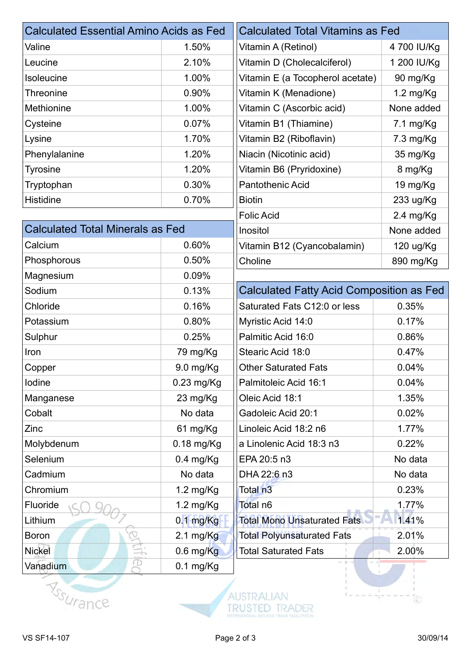| <b>Calculated Essential Amino Acids as Fed</b> |                     | <b>Calculated Total Vitamins as Fed</b>         |                     |
|------------------------------------------------|---------------------|-------------------------------------------------|---------------------|
| Valine                                         | 1.50%               | Vitamin A (Retinol)                             | 4 700 IU/Kg         |
| Leucine                                        | 2.10%               | Vitamin D (Cholecalciferol)                     | 1 200 IU/Kg         |
| Isoleucine                                     | 1.00%               | Vitamin E (a Tocopherol acetate)                | 90 mg/Kg            |
| Threonine                                      | 0.90%               | Vitamin K (Menadione)                           | $1.2 \text{ mg/Kg}$ |
| Methionine                                     | 1.00%               | Vitamin C (Ascorbic acid)                       | None added          |
| Cysteine                                       | 0.07%               | Vitamin B1 (Thiamine)                           | 7.1 mg/Kg           |
| Lysine                                         | 1.70%               | Vitamin B2 (Riboflavin)                         | 7.3 mg/Kg           |
| Phenylalanine                                  | 1.20%               | Niacin (Nicotinic acid)                         | 35 mg/Kg            |
| <b>Tyrosine</b>                                | 1.20%               | Vitamin B6 (Pryridoxine)                        | 8 mg/Kg             |
| Tryptophan                                     | 0.30%               | <b>Pantothenic Acid</b>                         | 19 mg/Kg            |
| Histidine                                      | 0.70%               | <b>Biotin</b>                                   | 233 ug/Kg           |
|                                                |                     | <b>Folic Acid</b>                               | $2.4 \text{ mg/Kg}$ |
| <b>Calculated Total Minerals as Fed</b>        |                     | Inositol                                        | None added          |
| Calcium                                        | 0.60%               | Vitamin B12 (Cyancobalamin)                     | 120 ug/Kg           |
| Phosphorous                                    | 0.50%               | Choline                                         | 890 mg/Kg           |
| Magnesium                                      | 0.09%               |                                                 |                     |
| Sodium                                         | 0.13%               | <b>Calculated Fatty Acid Composition as Fed</b> |                     |
| Chloride                                       | 0.16%               | Saturated Fats C12:0 or less                    | 0.35%               |
| Potassium                                      | 0.80%               | Myristic Acid 14:0                              | 0.17%               |
| Sulphur                                        | 0.25%               | Palmitic Acid 16:0                              | 0.86%               |
| Iron                                           | 79 mg/Kg            | Stearic Acid 18:0                               | 0.47%               |
| Copper                                         | 9.0 mg/Kg           | <b>Other Saturated Fats</b>                     | 0.04%               |
| lodine                                         | $0.23$ mg/Kg        | Palmitoleic Acid 16:1                           | 0.04%               |
| Manganese                                      | 23 mg/Kg            | Oleic Acid 18:1                                 | 1.35%               |
| Cobalt                                         | No data             | Gadoleic Acid 20:1                              | 0.02%               |
| Zinc                                           | 61 mg/Kg            | Linoleic Acid 18:2 n6                           | 1.77%               |
| Molybdenum                                     | $0.18$ mg/Kg        | a Linolenic Acid 18:3 n3                        | 0.22%               |
| Selenium                                       | $0.4$ mg/Kg         | EPA 20:5 n3                                     | No data             |
| Cadmium                                        | No data             | DHA 22:6 n3                                     | No data             |
| Chromium                                       | $1.2 \text{ mg/Kg}$ | Total n <sub>3</sub>                            | 0.23%               |
| Fluoride                                       | 1.2 mg/Kg           | Total n6                                        | 1.77%               |
| Lithium                                        | $0.1$ mg/Kg         | <b>Total Mono Unsaturated Fats</b>              | 1.41%               |
| <b>Boron</b>                                   | $2.1 \text{ mg/Kg}$ | <b>Total Polyunsaturated Fats</b>               | 2.01%               |
| Nickel                                         | $0.6$ mg/ $Kg$      | <b>Total Saturated Fats</b><br>$\mathbb{R}$     | 2.00%               |
| Œ<br>Vanadium                                  | $0.1$ mg/Kg         | $- +$                                           |                     |





ĭ.

 $\circlearrowright$ 

 $-1$